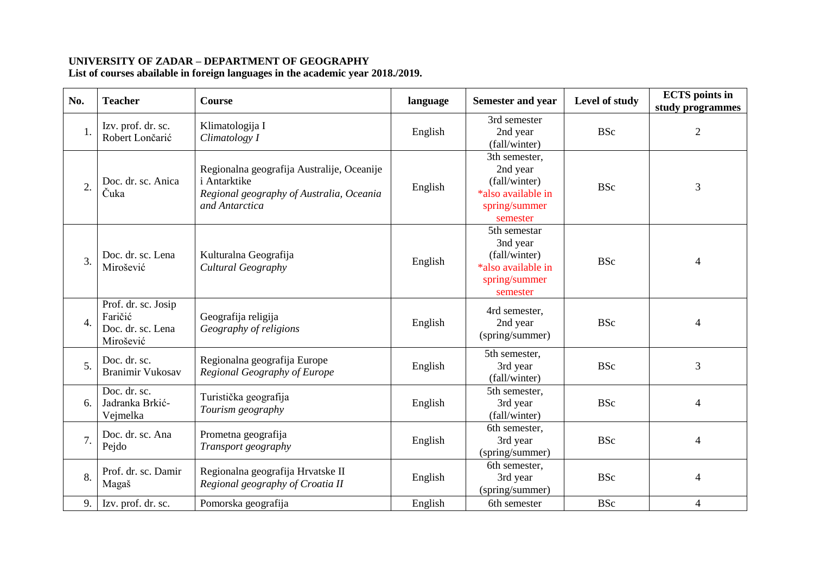## **UNIVERSITY OF ZADAR – DEPARTMENT OF GEOGRAPHY**

**List of courses abailable in foreign languages in the academic year 2018./2019.**

| No.              | <b>Teacher</b>                                                   | <b>Course</b>                                                                                                                   | language | <b>Semester and year</b>                                                                      | Level of study | <b>ECTS</b> points in<br>study programmes |
|------------------|------------------------------------------------------------------|---------------------------------------------------------------------------------------------------------------------------------|----------|-----------------------------------------------------------------------------------------------|----------------|-------------------------------------------|
| 1.               | Izv. prof. dr. sc.<br>Robert Lončarić                            | Klimatologija I<br>Climatology I                                                                                                | English  | 3rd semester<br>2nd year<br>(fall/winter)                                                     | <b>BSc</b>     | $\overline{c}$                            |
| 2.               | Doc. dr. sc. Anica<br>Čuka                                       | Regionalna geografija Australije, Oceanije<br><i>i</i> Antarktike<br>Regional geography of Australia, Oceania<br>and Antarctica | English  | 3th semester,<br>2nd year<br>(fall/winter)<br>*also available in<br>spring/summer<br>semester | <b>BSc</b>     | 3                                         |
| 3.               | Doc. dr. sc. Lena<br>Mirošević                                   | Kulturalna Geografija<br>Cultural Geography                                                                                     | English  | 5th semestar<br>3nd year<br>(fall/winter)<br>*also available in<br>spring/summer<br>semester  | <b>BSc</b>     | $\overline{4}$                            |
| $\overline{4}$ . | Prof. dr. sc. Josip<br>Faričić<br>Doc. dr. sc. Lena<br>Mirošević | Geografija religija<br>Geography of religions                                                                                   | English  | 4rd semester,<br>2nd year<br>(spring/summer)                                                  | <b>BSc</b>     | $\overline{4}$                            |
| 5.               | Doc. dr. sc.<br><b>Branimir Vukosav</b>                          | Regionalna geografija Europe<br>Regional Geography of Europe                                                                    | English  | 5th semester,<br>3rd year<br>(fall/winter)                                                    | <b>BSc</b>     | 3                                         |
| 6.               | Doc. dr. sc.<br>Jadranka Brkić-<br>Vejmelka                      | Turistička geografija<br>Tourism geography                                                                                      | English  | 5th semester,<br>3rd year<br>(fall/winter)                                                    | <b>BSc</b>     | $\overline{4}$                            |
| 7.               | Doc. dr. sc. Ana<br>Pejdo                                        | Prometna geografija<br>Transport geography                                                                                      | English  | 6th semester,<br>3rd year<br>(spring/summer)                                                  | <b>BSc</b>     | $\overline{4}$                            |
| 8.               | Prof. dr. sc. Damir<br>Magaš                                     | Regionalna geografija Hrvatske II<br>Regional geography of Croatia II                                                           | English  | 6th semester,<br>3rd year<br>(spring/summer)                                                  | <b>BSc</b>     | $\overline{4}$                            |
| 9.               | Izv. prof. dr. sc.                                               | Pomorska geografija                                                                                                             | English  | 6th semester                                                                                  | <b>BSc</b>     | 4                                         |